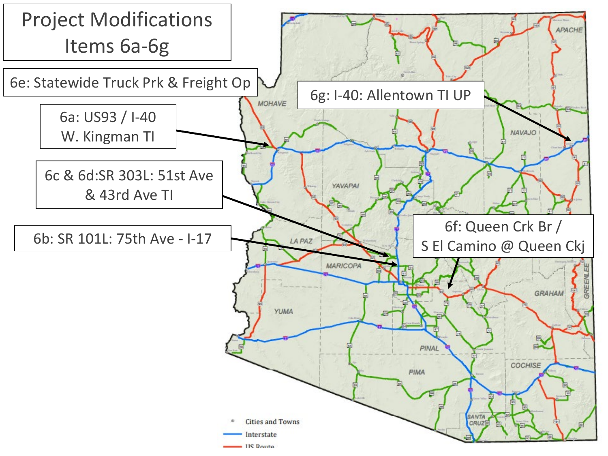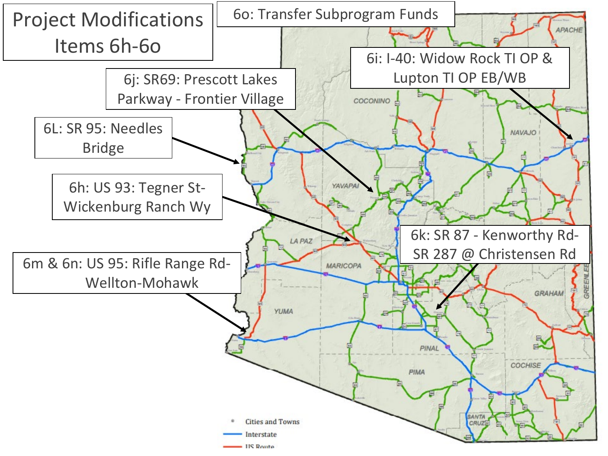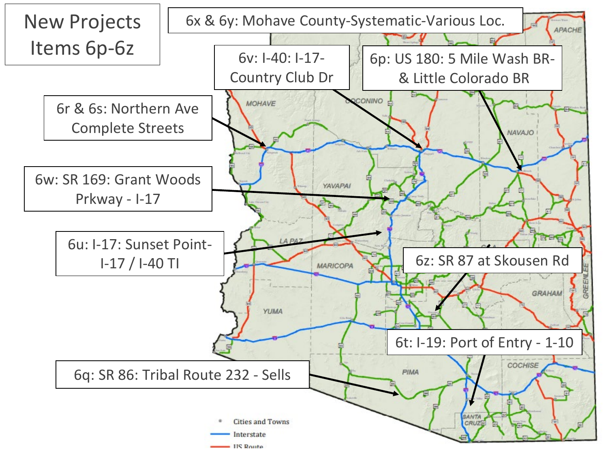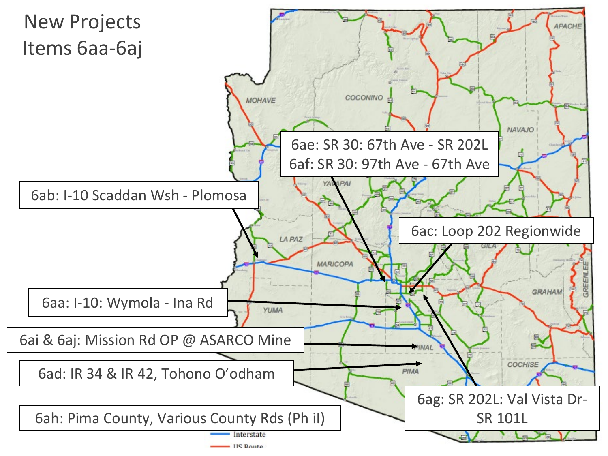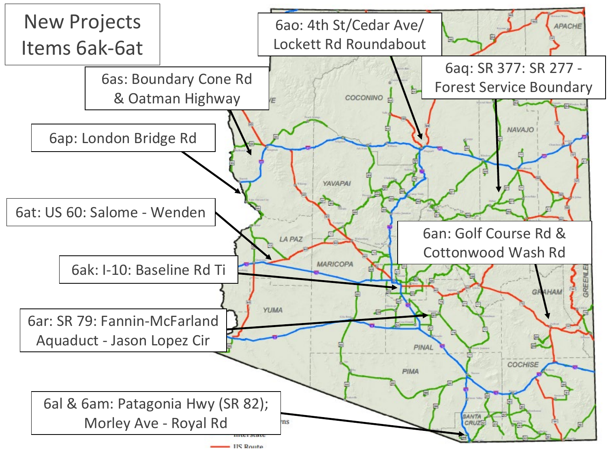